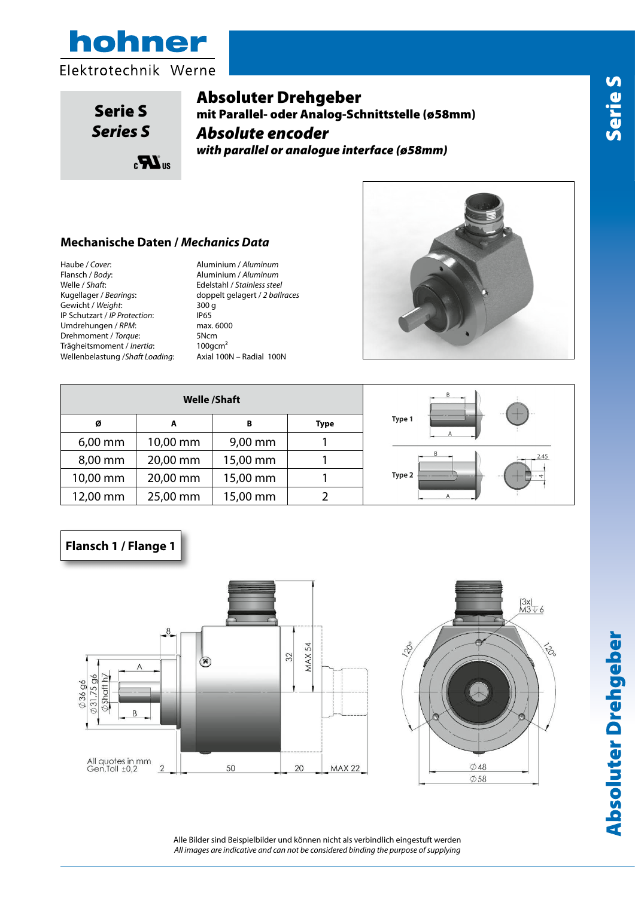

eri<br>*eri* S *Series S*Serie S

# Absoluter Drehgeber

mit Parallel- oder Analog-Schnittstelle (ø58mm) *Absolute encoder parallel or analogue (ø58mm)* Encoder assoluto parallelo o analogico (ø58mm) *Absolute encoder Absolute encoder parallel or analogue (ø58mm) with parallel or analogue interface (ø58mm)*

# **Custodia /** *Cover:* Alluminio naturale / *Aluminum* **Mechanische Daten /** *Mechanics Data* **Dati Meccanici /** *Mechanics Data*

**Albero /** *Shaft***:** Acciaio INOX / *Stainless steel* Haube / *Cover*: Aluminium / *Aluminum* **Flangia/** *Body***:** Alluminio naturale / *Aluminum* **Flansch / Body:**<br>Welle / *Shaft*: **Peso / Weight:** 300gr **Cuscinetti /** *Bearings***:** 2 a sfere / *ballraces* **Classe protezione /** *IP Protection***:** IP65 Gewicht / *Weight*: 300 g **Peso / Weight:** 300gr **Giri al minuto /** *RPM***:** 6000 Max IP Schutzart / *IP Protection*: IP65 **Classe protezione /** *IP Protection***:** IP65 **Communisty in a contract of the computation of the contract of the contract of the contract of the contract of the contract of the contract of the contract of the contract of the contract of the contract of the contract o Drehmoment /** *Torque***: 5Ncm Trägheitsmoment /** *Inertia***: 100gcm<sup>2</sup>** Flansch / *Body*: Aluminium / *Aluminum* **Albero /** *Shaft***:** Acciaio INOX / *Stainless steel* Wellenbelastung / *Shaft Loading*: Axial 100N - Radial 100N

Welle / *Shaft*: Edelstahl / *Stainless steel* Kugellager / *Bearings*: doppelt gelagert / *2 ballraces*



| <b>Welle /Shaft</b>        |          |          |  |  |  |  |  |  |
|----------------------------|----------|----------|--|--|--|--|--|--|
| B<br>ø<br>A<br><b>Type</b> |          |          |  |  |  |  |  |  |
| $6,00$ mm                  | 10,00 mm | 9,00 mm  |  |  |  |  |  |  |
| 8,00 mm                    | 20,00 mm | 15,00 mm |  |  |  |  |  |  |
| 10,00 mm                   | 20,00 mm | 15,00 mm |  |  |  |  |  |  |
| 12,00 mm                   | 25,00 mm | 15,00 mm |  |  |  |  |  |  |



## **Flansch 1 / Flange 1**





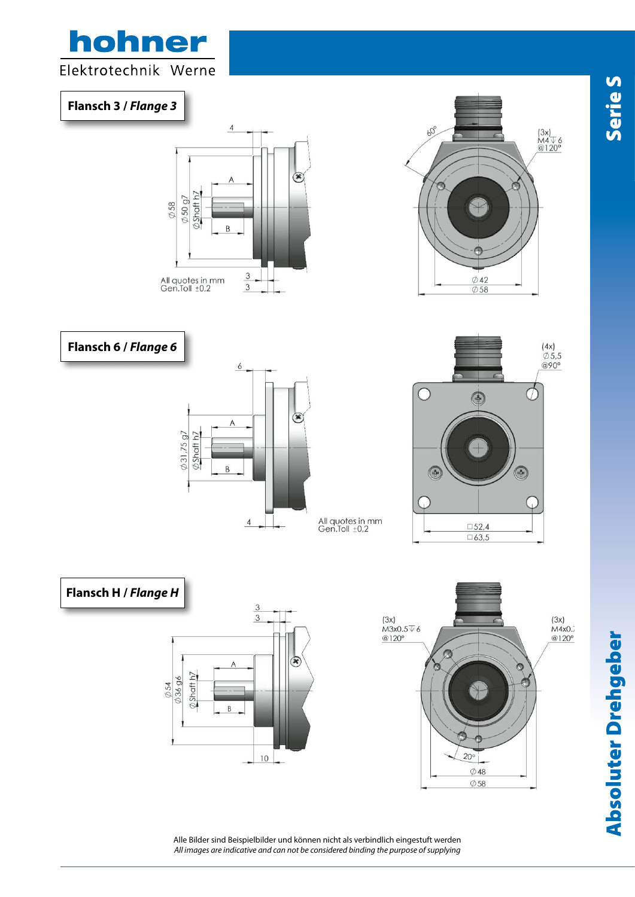

Alle Bilder sind Beispielbilder und können nicht als verbindlich eingestuft werden *All images are indicative and can not be considered binding the purpose of supplying* **Serie S**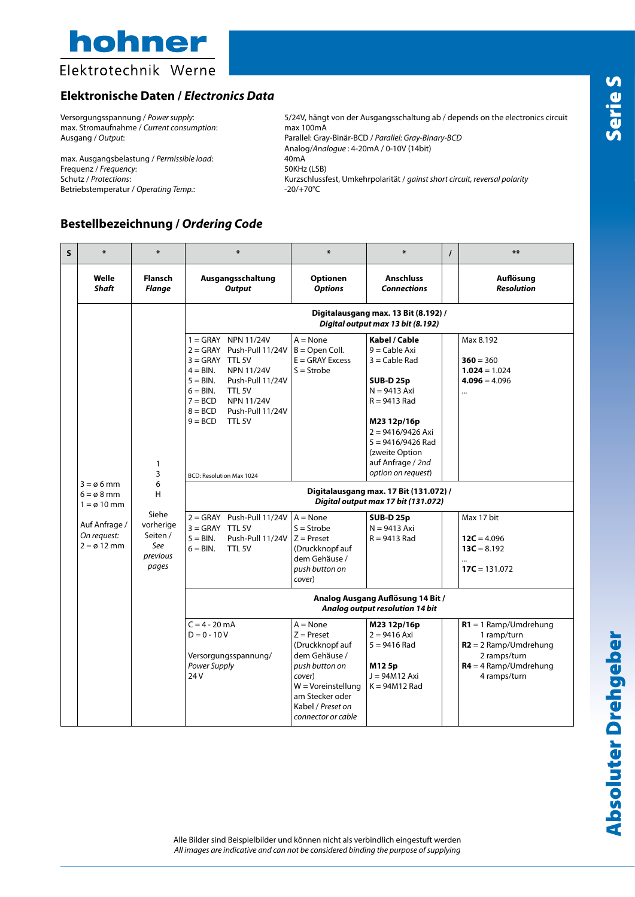

### Elektrotechnik Werne

#### **Elektronische Daten /** *Electronics Data*

max. Stromaufnahme / *Current consumption*: max 100mA

max. Ausgangsbelastung / *Permissible load*: 40mA<br>Frequenz / *Frequency*: 400mA 50KHz (LSB) Frequenz / *Frequency*:<br>Schutz / *Protections*: Betriebstemperatur / *Operating Temp*.:  $-20/+70°C$ 

Versorgungsspannung / *Power supply*: 5/24V, hängt von der Ausgangsschaltung ab / depends on the electronics circuit Ausgang / *Output*: Parallel: Gray-Binär-BCD / *Parallel: Gray-Binary-BCD* Analog/*Analogue* : 4-20mA / 0-10V (14bit) Schutz / *Protections*: Kurzschlussfest, Umkehrpolarität / *gainst short circuit, reversal polarity*

#### **Bestellbezeichnung /** *Ordering Code*

| $\mathsf{s}$ | 半                                                                                                                                  | ₩                                                                              | ∗                                                                                                                                                                                                                                                                                                                                                                                                                         | ₩                                                                                                                                                                                 | ∗                                                                                                                                                                                                                                                                                                                                                                              | $\prime$ | $***$                                                                                                                                 |  |  |  |  |
|--------------|------------------------------------------------------------------------------------------------------------------------------------|--------------------------------------------------------------------------------|---------------------------------------------------------------------------------------------------------------------------------------------------------------------------------------------------------------------------------------------------------------------------------------------------------------------------------------------------------------------------------------------------------------------------|-----------------------------------------------------------------------------------------------------------------------------------------------------------------------------------|--------------------------------------------------------------------------------------------------------------------------------------------------------------------------------------------------------------------------------------------------------------------------------------------------------------------------------------------------------------------------------|----------|---------------------------------------------------------------------------------------------------------------------------------------|--|--|--|--|
|              | Welle<br><b>Shaft</b>                                                                                                              | <b>Flansch</b><br>Flange                                                       | Ausgangsschaltung<br><b>Output</b>                                                                                                                                                                                                                                                                                                                                                                                        | <b>Optionen</b><br><b>Options</b>                                                                                                                                                 | <b>Anschluss</b><br><b>Connections</b>                                                                                                                                                                                                                                                                                                                                         |          | Auflösung<br><b>Resolution</b>                                                                                                        |  |  |  |  |
|              |                                                                                                                                    |                                                                                | Digitalausgang max. 13 Bit (8.192) /<br>Digital output max 13 bit (8.192)                                                                                                                                                                                                                                                                                                                                                 |                                                                                                                                                                                   |                                                                                                                                                                                                                                                                                                                                                                                |          |                                                                                                                                       |  |  |  |  |
|              | $3 = \emptyset 6$ mm<br>$6 = \emptyset 8$ mm<br>$1 = \varnothing$ 10 mm<br>Auf Anfrage /<br>On request:<br>$2 = \varnothing$ 12 mm | 1<br>3<br>6<br>н<br>Siehe<br>vorherige<br>Seiten /<br>See<br>previous<br>pages | $1 = \text{GRAY}$ NPN 11/24V<br>$2 = GRAY$ Push-Pull 11/24V<br>$3 =$ GRAY TTL 5V<br>$4 = BIN.$<br><b>NPN 11/24V</b><br>$5 = BIN$ .<br>Push-Pull 11/24V<br>$6 = BIN.$<br>TTL 5V<br>$7 = BCD$<br><b>NPN 11/24V</b><br>$8 = BCD$<br>Push-Pull 11/24V<br>$9 = BCD$<br>TTL 5V<br><b>BCD: Resolution Max 1024</b><br>$2 = GRAY$ Push-Pull 11/24V<br>$3 = GRAY$ TTL 5V<br>$5 = BIN$ .<br>Push-Pull 11/24V<br>$6 = RIN$<br>TTL 5V | $A = None$<br>$B =$ Open Coll.<br>$E = GRAY$ Excess<br>$S =$ Strobe<br>$A = None$<br>$S =$ Strobe<br>$Z =$ Preset<br>(Druckknopf auf<br>dem Gehäuse /<br>push button on<br>cover) | Kabel / Cable<br>$9 =$ Cable Axi<br>$3 =$ Cable Rad<br><b>SUB-D 25p</b><br>$N = 9413$ Axi<br>$R = 9413$ Rad<br>M23 12p/16p<br>$2 = 9416/9426$ Axi<br>$5 = 9416/9426$ Rad<br>(zweite Option<br>auf Anfrage / 2nd<br>option on request)<br>Digitalausgang max. 17 Bit (131.072) /<br>Digital output max 17 bit (131.072)<br><b>SUB-D 25p</b><br>$N = 9413$ Axi<br>$R = 9413$ Rad |          | Max 8.192<br>$360 = 360$<br>$1.024 = 1.024$<br>$4.096 = 4.096$<br><br>Max 17 bit<br>$12C = 4.096$<br>$13C = 8.192$<br>$17C = 131.072$ |  |  |  |  |
|              |                                                                                                                                    | Analog Ausgang Auflösung 14 Bit /<br>Analog output resolution 14 bit           |                                                                                                                                                                                                                                                                                                                                                                                                                           |                                                                                                                                                                                   |                                                                                                                                                                                                                                                                                                                                                                                |          |                                                                                                                                       |  |  |  |  |
|              |                                                                                                                                    | 24 <sub>V</sub>                                                                | $C = 4 - 20$ mA<br>$D = 0 - 10V$<br>Versorgungsspannung/<br>Power Supply                                                                                                                                                                                                                                                                                                                                                  | $A = None$<br>$Z =$ Preset<br>(Druckknopf auf<br>dem Gehäuse /<br>push button on<br>cover)<br>$W = V$ oreinstellung<br>am Stecker oder<br>Kabel / Preset on<br>connector or cable | M23 12p/16p<br>$2 = 9416$ Axi<br>$5 = 9416$ Rad<br>M125p<br>$J = 94M12$ Axi<br>$K = 94M12$ Rad                                                                                                                                                                                                                                                                                 |          | $R1 = 1$ Ramp/Umdrehung<br>1 ramp/turn<br>$R2 = 2$ Ramp/Umdrehung<br>2 ramps/turn<br>$R4 = 4$ Ramp/Umdrehung<br>4 ramps/turn          |  |  |  |  |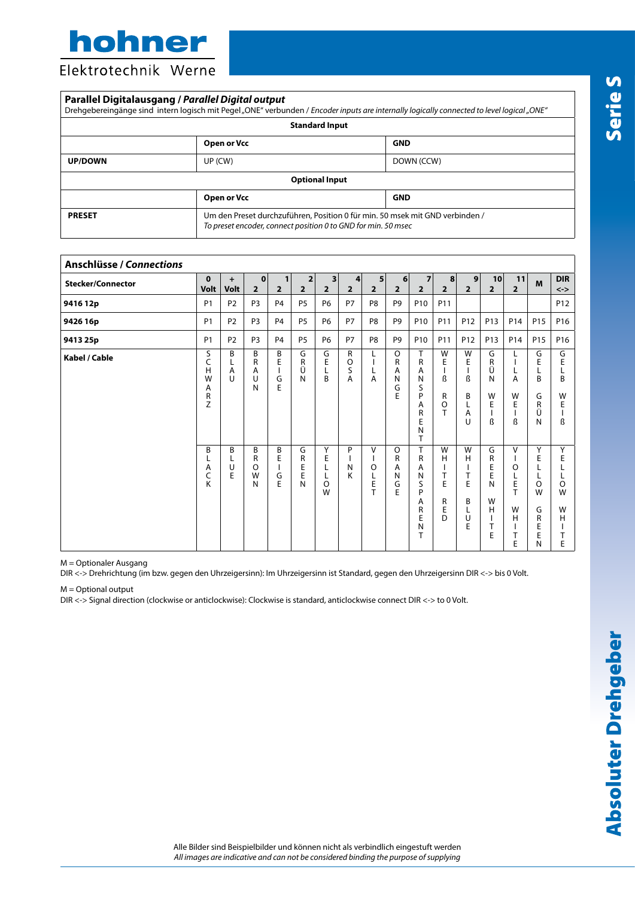hohner

Elektrotechnik Werne

| Parallel Digitalausgang / Parallel Digital output |                                                                                                                                               | Drehgebereingänge sind intern logisch mit Pegel "ONE" verbunden / Encoder inputs are internally logically connected to level logical "ONE" |  |  |  |  |
|---------------------------------------------------|-----------------------------------------------------------------------------------------------------------------------------------------------|--------------------------------------------------------------------------------------------------------------------------------------------|--|--|--|--|
|                                                   | <b>Standard Input</b>                                                                                                                         |                                                                                                                                            |  |  |  |  |
|                                                   | Open or Vcc                                                                                                                                   | <b>GND</b>                                                                                                                                 |  |  |  |  |
| <b>UP/DOWN</b>                                    | UP (CW)                                                                                                                                       | DOWN (CCW)                                                                                                                                 |  |  |  |  |
|                                                   | <b>Optional Input</b>                                                                                                                         |                                                                                                                                            |  |  |  |  |
|                                                   | Open or Vcc                                                                                                                                   | <b>GND</b>                                                                                                                                 |  |  |  |  |
| <b>PRESET</b>                                     | Um den Preset durchzuführen, Position 0 für min. 50 msek mit GND verbinden /<br>To preset encoder, connect position 0 to GND for min. 50 msec |                                                                                                                                            |  |  |  |  |

| <b>Anschlüsse / Connections</b> |                                 |                   |                             |                       |                       |                                           |                                                |                                  |                                  |                                                                                   |                                                 |                                      |                                           |                                                                           |                                                 |                                             |
|---------------------------------|---------------------------------|-------------------|-----------------------------|-----------------------|-----------------------|-------------------------------------------|------------------------------------------------|----------------------------------|----------------------------------|-----------------------------------------------------------------------------------|-------------------------------------------------|--------------------------------------|-------------------------------------------|---------------------------------------------------------------------------|-------------------------------------------------|---------------------------------------------|
| <b>Stecker/Connector</b>        | $\mathbf{0}$<br><b>Volt</b>     | $\ddot{}$<br>Volt | 0 <br>2 <sup>2</sup>        | 1<br>$\overline{2}$   | 2<br>$\overline{2}$   | $\overline{\mathbf{3}}$<br>$\overline{2}$ | 4<br>$\overline{2}$                            | 5 <sup>1</sup><br>$\overline{2}$ | 6 <sup>1</sup><br>2 <sup>1</sup> | $\overline{7}$<br>$\overline{2}$                                                  | 8 <br>$\overline{2}$                            | 9 <br>2 <sup>1</sup>                 | 10<br>$\overline{2}$                      | 11<br>$\overline{2}$                                                      | M                                               | <b>DIR</b><br>$\left\langle -\right\rangle$ |
| 9416 12p                        | <b>P1</b>                       | P <sub>2</sub>    | P <sub>3</sub>              | <b>P4</b>             | P <sub>5</sub>        | <b>P6</b>                                 | P7                                             | P <sub>8</sub>                   | P <sub>9</sub>                   | P10                                                                               | P11                                             |                                      |                                           |                                                                           |                                                 | P12                                         |
| 9426 16p                        | <b>P1</b>                       | P <sub>2</sub>    | P <sub>3</sub>              | P <sub>4</sub>        | <b>P5</b>             | <b>P6</b>                                 | P7                                             | P <sub>8</sub>                   | P <sub>9</sub>                   | P <sub>10</sub>                                                                   | P11                                             | P12                                  | P <sub>13</sub>                           | P14                                                                       | P15                                             | P <sub>16</sub>                             |
| 9413 25p                        | <b>P1</b>                       | P <sub>2</sub>    | P <sub>3</sub>              | P <sub>4</sub>        | <b>P5</b>             | <b>P6</b>                                 | P7                                             | P8                               | P <sub>9</sub>                   | P10                                                                               | P11                                             | P <sub>12</sub>                      | P <sub>13</sub>                           | P14                                                                       | P15                                             | P <sub>16</sub>                             |
| Kabel / Cable                   | S<br>C<br>Η<br>W<br>Α<br>R<br>Z | B<br>L<br>Α<br>U  | B<br>R<br>Α<br>U<br>N       | В<br>E<br>G<br>E      | G<br>R<br>Ü<br>N      | G<br>E<br>Г<br>B                          | $\mathsf{R}$<br>$\circ$<br>S<br>$\overline{A}$ | L<br>L<br>A                      | $\circ$<br>R<br>Α<br>N<br>G<br>E | T<br>$\mathsf{R}$<br>Α<br>N<br>S<br>P<br>Α<br>R<br>E<br>N<br>T                    | W<br>E<br>ß<br>R<br>$\circ$<br>T                | W<br>Ε<br>ß<br>B<br>L<br>Α<br>$\cup$ | G<br>R<br>Ü<br>N<br>W<br>Ε<br>ß           | L<br>L<br>A<br>W<br>E<br>$\overline{1}$<br>ß                              | G<br>E<br>L<br>B<br>G<br>$\mathsf{R}$<br>Ü<br>N | G<br>E<br>L<br>B<br>W<br>E<br>ß             |
|                                 | B<br>L<br>Α<br>C<br>K           | B<br>L<br>U<br>E  | B<br>R<br>$\circ$<br>W<br>N | B<br>E<br>L<br>G<br>E | G<br>R<br>Ε<br>E<br>N | Y<br>E<br>L<br>L<br>$\circ$<br>W          | P<br>N<br>K                                    | V<br>$\circ$<br>E<br>T           | $\circ$<br>R<br>Α<br>Ν<br>G<br>E | T<br>$\mathsf{R}$<br>Α<br>${\sf N}$<br>S<br>P<br>Α<br>R<br>E<br>$\mathsf{N}$<br>T | W<br>н<br>$\mathbf{I}$<br>T<br>E<br>R<br>E<br>D | W<br>H<br>T<br>E<br>B<br>L<br>U<br>E | G<br>R<br>E<br>E<br>N<br>W<br>H<br>Τ<br>E | $\vee$<br>I<br>$\circ$<br>L<br>E<br>T<br>W<br>H<br>$\mathbf{I}$<br>T<br>E | Y<br>E<br>O<br>W<br>G<br>R<br>E<br>E<br>N       | Y<br>E<br>$\circ$<br>W<br>W<br>н<br>Т<br>E  |

M = Optionaler Ausgang

DIR <-> Drehrichtung (im bzw. gegen den Uhrzeigersinn): Im Uhrzeigersinn ist Standard, gegen den Uhrzeigersinn DIR <-> bis 0 Volt.

M = Optional output

DIR <-> Signal direction (clockwise or anticlockwise): Clockwise is standard, anticlockwise connect DIR <-> to 0 Volt.

Alle Bilder sind Beispielbilder und können nicht als verbindlich eingestuft werden *All images are indicative and can not be considered binding the purpose of supplying*